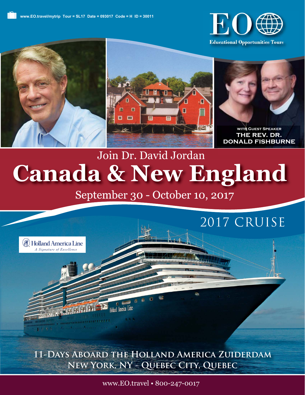

**Educational Opportunities Tours** 







**with Guest Speaker the rev. dr. donald fishburne**

# **Canada & New England** Join Dr. David Jordan

September 30 - October 10, 2017



**11-Days Aboard the Holland America Zuiderdam New York, NY - Quebec City, Quebec**

www.EO.travel • 800-247-0017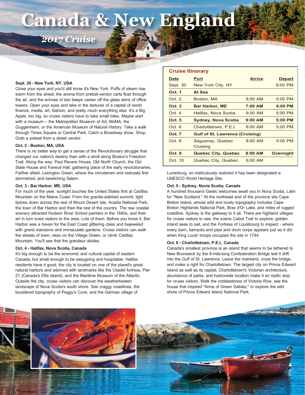# **Canada & New England**

*2017 Cruise*

#### **Sept. 30 - New York, NY, USA**

Close your eyes and you'd still know it's New York. Puffs of steam rise warm from the street, the aroma from pretzel-vendor carts float through the air, and the echoes of taxi beeps career off the glass skins of office towers. Open your eyes and take in the textures of a capital of world finance, media, art, fashion, and pretty much everything else. It's a Big Apple, too big, so cruise visitors have to take small bites. Maybe start with a museum – the Metropolitan Museum of Art, MoMA, the Guggenheim, or the American Museum of Natural History. Take a walk through Times Square or Central Park. Catch a Broadway show. Shop. Grab a pretzel from a street vendor.

#### **Oct. 2 - Boston, MA, USA**

There is no better way to get a sense of the Revolutionary struggle that changed our nation's destiny than with a stroll along Boston's Freedom Trail. Along the way: Paul Revere House, Old North Church, the Old State House and Faneuil Hall, gathering place of the early revolutionaries. Farther afield: Lexington Green, where the minutemen and redcoats first skirmished, and bewitching Salem.

#### **Oct. 3 - Bar Harbor, ME, USA**

For much of the year, sunlight touches the United States first at Cadillac Mountain on the Maine Coast. From the granite-slabbed summit, light tiptoes down across the rest of Mount Desert Isle, Acadia National Park, the town of Bar Harbor and then the rest of the country. The raw coastal scenery attracted Hudson River School painters in the 1840s, and their art in turn lured visitors to the area. Lots of them. Before you know it, Bar Harbor was a haven for the East Coast glittering class and bejeweled with grand mansions and immaculate gardens. Cruise visitors can walk the streets of town, relax on the Village Green, or climb Cadillac Mountain. You'll see that the grandeur abides.

### **Oct. 4 - Halifax, Nova Scotia, Canada**

It's big enough to be the economic and cultural capital of eastern Canada, but small enough to be easygoing and hospitable. Halifax residents have it good, the city is located on one of the planet's great natural harbors and adorned with landmarks like the Citadel fortress, Pier 21 (Canada's Ellis Island), and the Maritime Museum of the Atlantic. Outside the city, cruise visitors can discover the weatherbeaten landscape of Nova Scotia's south shore. See craggy coastlines, the bouldered topography of Peggy's Cove, and the German village of

| <b>Cruise Itinerary</b> |                                        |               |               |  |
|-------------------------|----------------------------------------|---------------|---------------|--|
| <b>Date</b>             | Port                                   | <b>Arrive</b> | <b>Depart</b> |  |
| Sept. 30                | New York City, NY                      |               | $8:00$ PM     |  |
| Oct. 1                  | At Sea                                 |               |               |  |
| Oct. 2                  | Boston, MA                             | $8:00$ AM     | $5:00$ PM     |  |
| Oct. 3                  | <b>Bar Harbor, ME</b>                  | 7:00 AM       | $4:00$ PM     |  |
| Oct. 4                  | Halifax, Nova Scotia                   | $9:00$ AM     | $5:00$ PM     |  |
| Oct. 5                  | <b>Sydney, Nova Scotia</b>             | $9:00$ AM     | $5:00$ PM     |  |
| Oct. 6                  | Charlottetown, P.E.I.                  | $8:00$ AM     | $5:00$ PM     |  |
| <b>Oct. 7</b>           | <b>Gulf of St. Lawrence (Cruising)</b> |               |               |  |
| Oct. 8                  | Saguenay, Quebec                       | $8:00$ AM     | $5:00$ PM     |  |
|                         | Cruising                               |               |               |  |
| Oct. 9                  | <b>Quebec City, Quebec</b>             | $8:00$ AM     | Overnight     |  |
| Oct. 10                 | Quebec City, Quebec                    | $6:00$ AM     |               |  |

Lunenburg, so meticulously restored it has been designated a UNESCO World Heritage Site.

### **Oct. 5 - Sydney, Novia Scotia, Canada**

A hundred thousand Gaelic welcomes await you in Nova Scotia, Latin for "New Scotland." At the northeast end of the province sits Cape Breton Island, whose wild and lovely topography includes Cape Breton Highlands National Park, Bras d'Or Lake, and miles of rugged coastline. Sydney is the gateway to it all. There are highland villages for cruise visitors to see, the scenic Cabot Trail to explore, golden inland seas to sail, and the Fortress of Louisbourg to inspect - where every barn, barracks and pipe and drum corps appears just as it did when King Louis' troops occupied the site in 1744.

### **Oct. 6 - Charlottetown, P.E.I., Canada**

Canada's smallest province is an island that seems to be tethered to New Brunswick by the 8-mile-long Confederation Bridge lest it drift into the Gulf of St. Lawrence. Leave the mainland, cross the bridge, and make a right for Charlottetown. The largest city on Prince Edward Island as well as its capital, Charlottetown's Victorian architecture, abundance of parks, and harborside location make it an idyllic stop for cruise visitors. Walk the cobblestones of Victoria Row, see the house that inspired "Anne of Green Gables," or explore the wild shore of Prince Edward Island National Park.

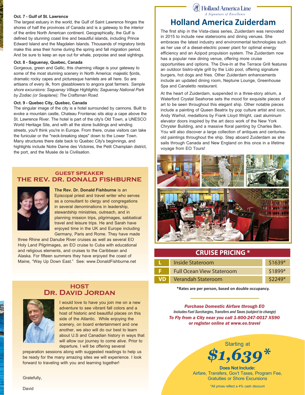## **Oct. 7 - Gulf of St. Lawrence**

The largest estuary in the world, the Gulf of Saint Lawrence fringes the shores of half the provinces of Canada and is a gateway to the interior of the entire North American continent. Geographically, the Gulf is defined by stunning coast line and beautiful islands, including Prince Edward Island and the Magdalen Islands. Thousands of migratory birds make this area their home during the spring and fall migration period. And be sure to keep an eye out for whale, porpoise and seal sightings.

#### **Oct. 8 - Saguenay, Quebec, Canada**

Gorgeous, green and Gallic, this charming village is your gateway to some of the most stunning scenery in North America: majestic fjords, dramatic rocky capes and picturesque hamlets are all here. So are artisans of every ilk, from glassblowers to angora goat farmers. *Sample shore excursions: Saguenay Village Highlights; Saguenay National Park by Zodiac (or Seaplane); The Craftsman Road.*

#### **Oct. 9 - Quebec City, Quebec, Canada**

The singular image of the city is a hotel surrounded by cannons. Built to evoke a mountain castle, Chateau Frontenac sits atop a cape above the St. Lawrence River. The hotel is part of the city's Old Town, a UNESCO World Heritage Site, and with all the stone buildings and winding streets, you'll think you're in Europe. From there, cruise visitors can take the funicular or the "neck-breaking steps" down to the Lower Town. Many structures there date back to Quebec City's beginnings, and highlights include Notre Dame des Victoires, the Petit Champlain district, the port, and the Musée de la Civilisation.

## **guest speaker the rev. dr. donald fishburne**



**The Rev. Dr. Donald Fishburne** is an Episcopal priest and travel writer who serves as a consultant to clergy and congregations in several denominations in leadership, stewardship ministries, outreach, and in planning mission trips, pilgrimages, sabbatical travel and leisure trips. He and Sarah have enjoyed time in the UK and Europe including Germany, Paris and Rome. They have made

three Rhine and Danube River cruises as well as several EO Holy Land Pilgrimages, an EO cruise to Cuba with educational and religious elements, and cruises to the Caribbean and Alaska. For fifteen summers they have enjoyed the coast of Maine, "Way Up Down East." See: www.DonaldFishburne.net

## **HOST Dr. David Jordan**



I would love to have you join me on a new adventure to see vibrant fall colors and a host of historic and beautiful places on this side of the Atlantic. While enjoying the scenery, on board entertainment and one another, we also will do our best to learn about U.S and Canadian history in ways that will allow our journey to come alive. Prior to departure, I will be offering several

preparation sessions along with suggested readings to help us be ready for the many amazing sites we will experience. I look forward to traveling with you and learning together!

Gratefully,

David

(4) Holland America Line A Signature of Excellence

## **Holland America Zuiderdam**

The first ship in the Vista-class series, Zuiderdam was renovated in 2015 to include new staterooms and dining venues. She embraces the latest industry and environmental technologies such as her use of a diesel-electric power plant for optimal energy efficiency and an Azipod propulsion system. The Zuiderdam now has a popular new dining venue, offering more cruise opportunities and options. The Dive-In at the Terrace Grill features an outdoor bistro-style grill by the Lido pool, offering signature burgers, hot dogs and fries. Other Zuiderdam enhancements include an updated dining room, Neptune Lounge, Greenhouse Spa and Canaletto restaurant.

At the heart of Zuiderdam, suspended in a three-story atrium, a Waterford Crystal Seahorse sets the mood for exquisite pieces of art to be seen throughout this elegant ship. Other notable pieces include a painting of Queen Beatrix by pop culture artist and icon, Andy Warhol, medallions by Frank Lloyd Wright, cast aluminum elevator doors inspired by the art deco work of the New York Chrysler Building, and a massive floral painting by Charles Ben. You will also discover a large collection of antiques and centuriesold paintings throughout the ship. Step aboard Zuiderdam as she sails through Canada and New England on this once in a lifetime voyage from EO Tours!



## **CRUISE PRICING \***

| Inside Stateroom                 | \$1639*  |
|----------------------------------|----------|
| <b>Full Ocean View Stateroom</b> | \$1899*  |
| <b>VD</b> Verandah Stateroom     | $$2249*$ |

**\*Rates are per person, based on double occupancy.**

*Purchase Domestic Airfare through EO* Includes Fuel Surcharges, Transfers and Taxes (subject to change) *To Fly from a City near you call 1-800-247-0017 X590 or register online at www.eo.travel*



**Does Not Include:** Airfare, Transfers, Gov't Taxes, Program Fee, Gratuities or Shore Excursions

\*All prices reflect a 4% cash discount